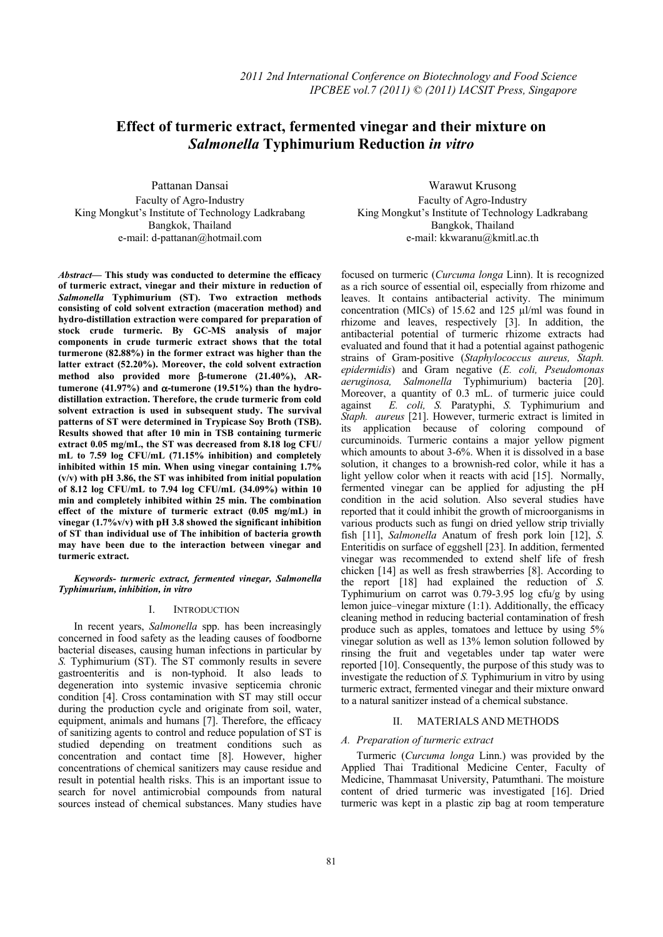# **Effect of turmeric extract, fermented vinegar and their mixture on**  *Salmonella* **Typhimurium Reduction** *in vitro*

Pattanan Dansai Faculty of Agro-Industry King Mongkut's Institute of Technology Ladkrabang Bangkok, Thailand e-mail: d-pattanan@hotmail.com

*Abstract***— This study was conducted to determine the efficacy of turmeric extract, vinegar and their mixture in reduction of**  *Salmonella* **Typhimurium (ST). Two extraction methods consisting of cold solvent extraction (maceration method) and hydro-distillation extraction were compared for preparation of stock crude turmeric. By GC-MS analysis of major components in crude turmeric extract shows that the total turmerone (82.88%) in the former extract was higher than the latter extract (52.20%). Moreover, the cold solvent extraction method also provided more** β**-tumerone (21.40%), ARtumerone (41.97%) and** α**-tumerone (19.51%) than the hydrodistillation extraction. Therefore, the crude turmeric from cold solvent extraction is used in subsequent study. The survival patterns of ST were determined in Trypicase Soy Broth (TSB). Results showed that after 10 min in TSB containing turmeric extract 0.05 mg/mL, the ST was decreased from 8.18 log CFU/ mL to 7.59 log CFU/mL (71.15% inhibition) and completely inhibited within 15 min. When using vinegar containing 1.7% (v/v) with pH 3.86, the ST was inhibited from initial population of 8.12 log CFU/mL to 7.94 log CFU/mL (34.09%) within 10 min and completely inhibited within 25 min. The combination effect of the mixture of turmeric extract (0.05 mg/mL) in vinegar (1.7%v/v) with pH 3.8 showed the significant inhibition of ST than individual use of The inhibition of bacteria growth may have been due to the interaction between vinegar and turmeric extract.** 

*Keywords- turmeric extract, fermented vinegar, Salmonella Typhimurium, inhibition, in vitro* 

### I. INTRODUCTION

In recent years, *Salmonella* spp. has been increasingly concerned in food safety as the leading causes of foodborne bacterial diseases, causing human infections in particular by *S.* Typhimurium (ST). The ST commonly results in severe gastroenteritis and is non-typhoid. It also leads to degeneration into systemic invasive septicemia chronic condition [4]. Cross contamination with ST may still occur during the production cycle and originate from soil, water, equipment, animals and humans [7]. Therefore, the efficacy of sanitizing agents to control and reduce population of ST is studied depending on treatment conditions such as concentration and contact time [8]. However, higher concentrations of chemical sanitizers may cause residue and result in potential health risks. This is an important issue to search for novel antimicrobial compounds from natural sources instead of chemical substances. Many studies have

Warawut Krusong Faculty of Agro-Industry King Mongkut's Institute of Technology Ladkrabang Bangkok, Thailand e-mail: kkwaranu@kmitl.ac.th

focused on turmeric (*Curcuma longa* Linn). It is recognized as a rich source of essential oil, especially from rhizome and leaves. It contains antibacterial activity. The minimum concentration (MICs) of 15.62 and 125 µl/ml was found in rhizome and leaves, respectively [3]. In addition, the antibacterial potential of turmeric rhizome extracts had evaluated and found that it had a potential against pathogenic strains of Gram-positive (*Staphylococcus aureus, Staph. epidermidis*) and Gram negative (*E. coli, Pseudomonas aeruginosa, Salmonella* Typhimurium) bacteria [20]. Moreover, a quantity of 0.3 mL. of turmeric juice could against *E. coli, S.* Paratyphi, *S.* Typhimurium and *Staph. aureus* [21]. However, turmeric extract is limited in its application because of coloring compound of curcuminoids. Turmeric contains a major yellow pigment which amounts to about 3-6%. When it is dissolved in a base solution, it changes to a brownish-red color, while it has a light yellow color when it reacts with acid [15]. Normally, fermented vinegar can be applied for adjusting the pH condition in the acid solution. Also several studies have reported that it could inhibit the growth of microorganisms in various products such as fungi on dried yellow strip trivially fish [11], *Salmonella* Anatum of fresh pork loin [12], *S.* Enteritidis on surface of eggshell [23]. In addition, fermented vinegar was recommended to extend shelf life of fresh chicken [14] as well as fresh strawberries [8]. According to the report [18] had explained the reduction of *S.* Typhimurium on carrot was 0.79-3.95 log cfu/g by using lemon juice–vinegar mixture (1:1). Additionally, the efficacy cleaning method in reducing bacterial contamination of fresh produce such as apples, tomatoes and lettuce by using 5% vinegar solution as well as 13% lemon solution followed by rinsing the fruit and vegetables under tap water were reported [10]. Consequently, the purpose of this study was to investigate the reduction of *S.* Typhimurium in vitro by using turmeric extract, fermented vinegar and their mixture onward to a natural sanitizer instead of a chemical substance.

# II. MATERIALS AND METHODS

# *A. Preparation of turmeric extract*

Turmeric (*Curcuma longa* Linn.) was provided by the Applied Thai Traditional Medicine Center, Faculty of Medicine, Thammasat University, Patumthani. The moisture content of dried turmeric was investigated [16]. Dried turmeric was kept in a plastic zip bag at room temperature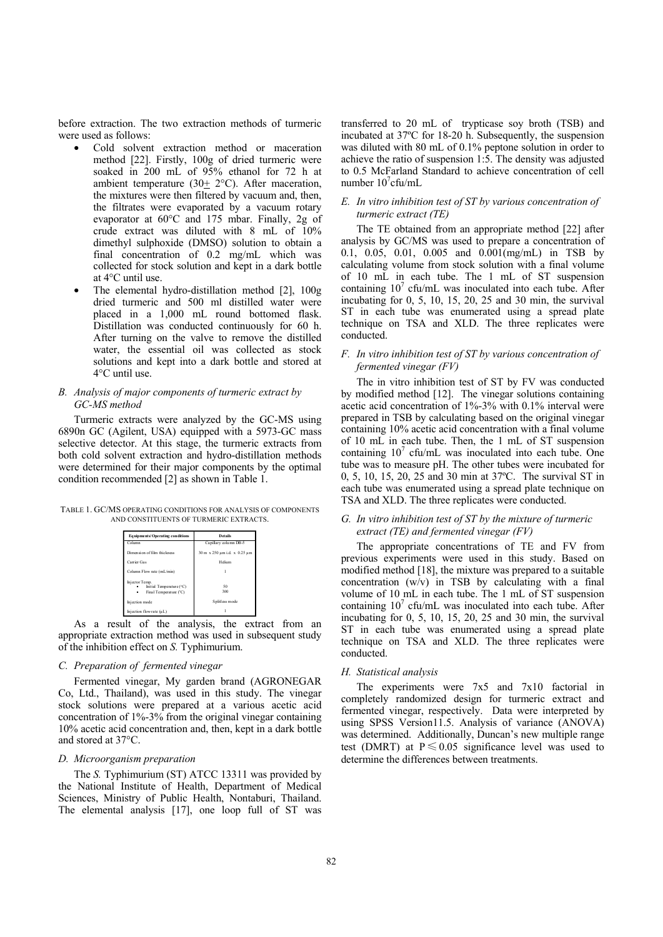before extraction. The two extraction methods of turmeric were used as follows:

- Cold solvent extraction method or maceration method [22]. Firstly, 100g of dried turmeric were soaked in 200 mL of 95% ethanol for 72 h at ambient temperature (30+ 2°C). After maceration, the mixtures were then filtered by vacuum and, then, the filtrates were evaporated by a vacuum rotary evaporator at 60°C and 175 mbar. Finally, 2g of crude extract was diluted with 8 mL of 10% dimethyl sulphoxide (DMSO) solution to obtain a final concentration of 0.2 mg/mL which was collected for stock solution and kept in a dark bottle at 4°C until use.
- The elemental hydro-distillation method [2], 100g dried turmeric and 500 ml distilled water were placed in a 1,000 mL round bottomed flask. Distillation was conducted continuously for 60 h. After turning on the valve to remove the distilled water, the essential oil was collected as stock solutions and kept into a dark bottle and stored at 4°C until use.

## *B. Analysis of major components of turmeric extract by GC-MS method*

Turmeric extracts were analyzed by the GC-MS using 6890n GC (Agilent, USA) equipped with a 5973-GC mass selective detector. At this stage, the turmeric extracts from both cold solvent extraction and hydro-distillation methods were determined for their major components by the optimal condition recommended [2] as shown in Table 1.

TABLE 1. GC/MS OPERATING CONDITIONS FOR ANALYSIS OF COMPONENTS AND CONSTITUENTS OF TURMERIC EXTRACTS.

| Equipments/Operating conditions                                      | Details                      |  |  |  |  |  |
|----------------------------------------------------------------------|------------------------------|--|--|--|--|--|
| Column                                                               | Capillary column DB-5        |  |  |  |  |  |
| Dimension of film thickness                                          | 30 m x 250 µm i.d. x 0.25 µm |  |  |  |  |  |
| Carrier Gas                                                          | Helium                       |  |  |  |  |  |
| Column Flow rate (mL/min)                                            |                              |  |  |  |  |  |
| Injector Temp.<br>Initial Temperature (°C)<br>Final Temperature (°C) | 50<br>300                    |  |  |  |  |  |
| Injection mode                                                       | Splitless mode               |  |  |  |  |  |
| Injection flow rate (uL)                                             |                              |  |  |  |  |  |

As a result of the analysis, the extract from an appropriate extraction method was used in subsequent study of the inhibition effect on *S.* Typhimurium.

### *C. Preparation of fermented vinegar*

Fermented vinegar, My garden brand (AGRONEGAR Co, Ltd., Thailand), was used in this study. The vinegar stock solutions were prepared at a various acetic acid concentration of 1%-3% from the original vinegar containing 10% acetic acid concentration and, then, kept in a dark bottle and stored at 37°C.

# *D. Microorganism preparation*

The *S.* Typhimurium (ST) ATCC 13311 was provided by the National Institute of Health, Department of Medical Sciences, Ministry of Public Health, Nontaburi, Thailand. The elemental analysis [17], one loop full of ST was

transferred to 20 mL of trypticase soy broth (TSB) and incubated at 37ºC for 18-20 h. Subsequently, the suspension was diluted with 80 mL of 0.1% peptone solution in order to achieve the ratio of suspension 1:5. The density was adjusted to 0.5 McFarland Standard to achieve concentration of cell number  $10^7$ cfu/mL

# *E. In vitro inhibition test of ST by various concentration of turmeric extract (TE)*

The TE obtained from an appropriate method [22] after analysis by GC/MS was used to prepare a concentration of 0.1, 0.05, 0.01, 0.005 and 0.001(mg/mL) in TSB by calculating volume from stock solution with a final volume of 10 mL in each tube. The 1 mL of ST suspension containing  $10^7$  cfu/mL was inoculated into each tube. After incubating for 0, 5, 10, 15, 20, 25 and 30 min, the survival ST in each tube was enumerated using a spread plate technique on TSA and XLD. The three replicates were conducted.

## *F. In vitro inhibition test of ST by various concentration of fermented vinegar (FV)*

The in vitro inhibition test of ST by FV was conducted by modified method [12]. The vinegar solutions containing acetic acid concentration of 1%-3% with 0.1% interval were prepared in TSB by calculating based on the original vinegar containing 10% acetic acid concentration with a final volume of 10 mL in each tube. Then, the 1 mL of ST suspension containing  $10^7$  cfu/mL was inoculated into each tube. One tube was to measure pH. The other tubes were incubated for 0, 5, 10, 15, 20, 25 and 30 min at 37ºC. The survival ST in each tube was enumerated using a spread plate technique on TSA and XLD. The three replicates were conducted.

# *G. In vitro inhibition test of ST by the mixture of turmeric extract (TE) and fermented vinegar (FV)*

The appropriate concentrations of TE and FV from previous experiments were used in this study. Based on modified method [18], the mixture was prepared to a suitable concentration (w/v) in TSB by calculating with a final volume of 10 mL in each tube. The 1 mL of ST suspension containing  $10^7$  cfu/mL was inoculated into each tube. After incubating for 0, 5, 10, 15, 20, 25 and 30 min, the survival ST in each tube was enumerated using a spread plate technique on TSA and XLD. The three replicates were conducted.

#### *H. Statistical analysis*

The experiments were 7x5 and 7x10 factorial in completely randomized design for turmeric extract and fermented vinegar, respectively. Data were interpreted by using SPSS Version11.5. Analysis of variance (ANOVA) was determined. Additionally, Duncan's new multiple range test (DMRT) at  $P \le 0.05$  significance level was used to determine the differences between treatments.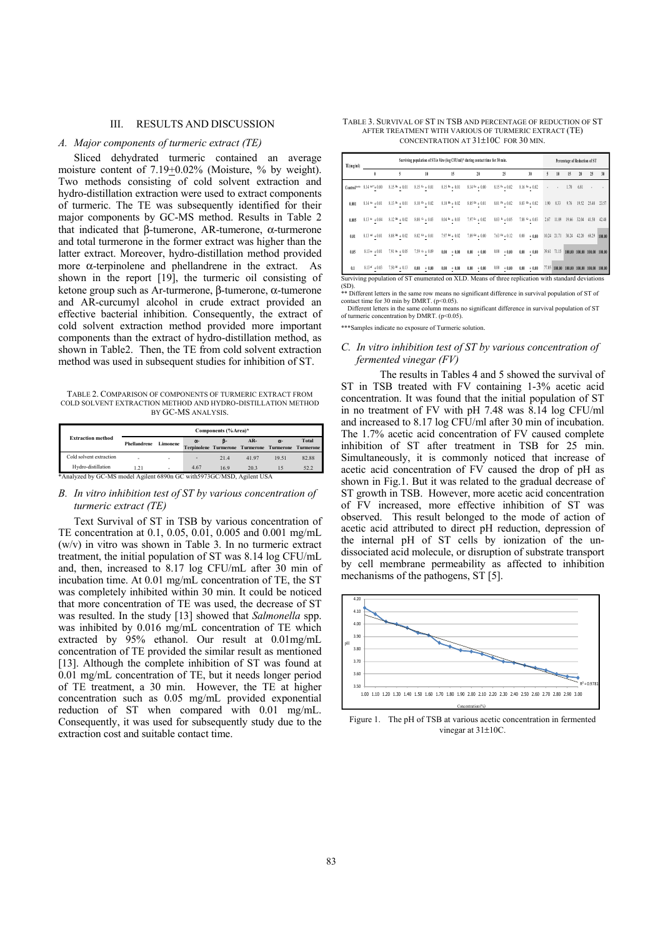#### III. RESULTS AND DISCUSSION

#### *A. Major components of turmeric extract (TE)*

Sliced dehydrated turmeric contained an average moisture content of  $7.19 \pm 0.02\%$  (Moisture, % by weight). Two methods consisting of cold solvent extraction and hydro-distillation extraction were used to extract components of turmeric. The TE was subsequently identified for their major components by GC-MS method. Results in Table 2 that indicated that β-tumerone, AR-tumerone, α-turmerone and total turmerone in the former extract was higher than the latter extract. Moreover, hydro-distillation method provided more  $\alpha$ -terpinolene and phellandrene in the extract. As shown in the report [19], the turmeric oil consisting of ketone group such as Ar-turmerone, β-tumerone, α-tumerone and AR-curcumyl alcohol in crude extract provided an effective bacterial inhibition. Consequently, the extract of cold solvent extraction method provided more important components than the extract of hydro-distillation method, as shown in Table2. Then, the TE from cold solvent extraction method was used in subsequent studies for inhibition of ST.

TABLE 2. COMPARISON OF COMPONENTS OF TURMERIC EXTRACT FROM COLD SOLVENT EXTRACTION METHOD AND HYDRO-DISTILLATION METHOD BY GC-MS ANALYSIS.

|                                                                         |              |          |            | Components (%Area)* |                                                              |            |              |
|-------------------------------------------------------------------------|--------------|----------|------------|---------------------|--------------------------------------------------------------|------------|--------------|
| <b>Extraction method</b>                                                | Phellandrene | Limonene | $\alpha$ - | в-                  | $AR-$<br>Terpinolene Turmerone Turmerone Turmerone Turmerone | $\alpha$ - | <b>Total</b> |
| Cold solvent extraction                                                 | ۰            | ٠        | ۰          | 214                 | 4197                                                         | 19.51      | 82.88        |
| Hydro-distillation                                                      | 121          | ٠        | 4.67       | 169                 | 203                                                          |            | 52.2         |
| *Analyzed by GC-MS model Agilent 6890n GC with 5973 GC/MSD, Agilent USA |              |          |            |                     |                                                              |            |              |

# *B. In vitro inhibition test of ST by various concentration of turmeric extract (TE)*

Text Survival of ST in TSB by various concentration of TE concentration at 0.1, 0.05, 0.01, 0.005 and 0.001 mg/mL (w/v) in vitro was shown in Table 3. In no turmeric extract treatment, the initial population of ST was 8.14 log CFU/mL and, then, increased to 8.17 log CFU/mL after 30 min of incubation time. At 0.01 mg/mL concentration of TE, the ST was completely inhibited within 30 min. It could be noticed that more concentration of TE was used, the decrease of ST was resulted. In the study [13] showed that *Salmonella* spp. was inhibited by 0.016 mg/mL concentration of TE which extracted by 95% ethanol. Our result at 0.01mg/mL concentration of TE provided the similar result as mentioned [13]. Although the complete inhibition of ST was found at 0.01 mg/mL concentration of TE, but it needs longer period of TE treatment, a 30 min. However, the TE at higher concentration such as 0.05 mg/mL provided exponential reduction of ST when compared with 0.01 mg/mL. Consequently, it was used for subsequently study due to the extraction cost and suitable contact time.

TABLE 3. SURVIVAL OF ST IN TSB AND PERCENTAGE OF REDUCTION OF ST AFTER TREATMENT WITH VARIOUS OF TURMERIC EXTRACT (TE) CONCENTRATION AT 31±10C FOR 30 MIN.

| TE(mg/ml) |                                |                   | Surviving population of ST in Vitro (log CFU/ml)* during contact time for 30 min.                 |                                   |                         |                         |                           |       |             | Percentage of Reduction of ST |                             |             |        |
|-----------|--------------------------------|-------------------|---------------------------------------------------------------------------------------------------|-----------------------------------|-------------------------|-------------------------|---------------------------|-------|-------------|-------------------------------|-----------------------------|-------------|--------|
|           | ٥                              | 5                 | 10                                                                                                | 15                                | 20                      | 25                      | 30                        | 5     | 10          | 15                            | 20                          | 25          | 30     |
|           | $Control***$ 8.14 $M'' + 0.00$ | $8.15$ Bs $+0.01$ | $8.15 \, \Omega + 0.01$                                                                           | $8.15 m + 0.01$                   | $8.14 \text{ h} + 0.00$ | $8.15h + 0.02$          | $8.16 \text{ G} + 0.02$   | ٠     | $\cdot$     | 1.70                          | 6.81                        | ×           |        |
| 0.001     | $8.14 - 0.01$                  | $8.13* + 0.01$    | $8.10 \, \text{O} + 0.02$                                                                         | $8.10^{46} + 0.02$                | $8.05 B + 0.01$         | $8.01 P + 0.02$         | $8.03 \, \, {}^{68}+0.02$ | 1.90  | 8.33        | 9.76                          |                             | 19.52 25.48 | 23.57  |
| 0.005     | $8.13 - 40.04$                 | $8.12 B + 0.02$   | $8.08$ $^{0}$ + 0.03                                                                              | $8.04 \text{ R} + 0.03$           | $7.97$ Fr $+0.02$       | $8.03 \text{ R} + 0.05$ | 7.88 $\alpha$ + 0.03      | 2.67  | 11.89       | 19.66                         | 32.04 41.50                 |             | 42.48  |
| 0.01      | $8.13 - 4 + 0.01$              | $8.08$ M $+0.02$  | $8.02 \text{ G} + 0.01$                                                                           | $7.97 m + 0.02$                   | $7.89$ Ed + $0.00$      | $7.63 m + 0.12$         | 0.00<br>$+0.00$           |       | 10.24 21.71 |                               | 30.24 42.20 68.29           |             | 100.00 |
| 0.05      | $8.134 + 0.01$                 | $7.91$ Br $+0.05$ | 7.59 $\alpha$ + 0.09                                                                              | $0.00 + 0.00$                     | $+ 0.00$<br>0.00        | $0.00\,$<br>$+0.00$     | $+0.00$<br>$0.00 -$       |       | 39.61 71.15 |                               | 100.00 100.00 100.00 100.00 |             |        |
| 0.1       | $8.13 - 0.03$                  | $7.50$ Bf $+0.13$ | $0.00 + 0.00$                                                                                     | $0.00\phantom{0}+0.00\phantom{0}$ | $+0.00$<br>$0.00 -$     | $0.00 + 0.00$           | $0.00 + 0.00$             | 77.05 | 100,00      | 100.00 100.00 100.00 100.00   |                             |             |        |
| (SD)      |                                |                   | Surviving population of ST enumerated on XLD. Means of three replication with standard deviations |                                   |                         |                         |                           |       |             |                               |                             |             |        |

(SD). \*\* Different letters in the same row means no significant difference in survival population of ST of contact time for 30 min by DMRT. (p<0.05). Different letters in the same column means no significant difference in survival population of ST

of turmeric concentration by DMRT. (p<0.05).

\*\*\*Samples indicate no exposure of Turmeric solution

# *C. In vitro inhibition test of ST by various concentration of fermented vinegar (FV)*

The results in Tables 4 and 5 showed the survival of ST in TSB treated with FV containing 1-3% acetic acid concentration. It was found that the initial population of ST in no treatment of FV with pH 7.48 was  $\hat{8}.\hat{14}$  log CFU/ml and increased to 8.17 log CFU/ml after 30 min of incubation. The 1.7% acetic acid concentration of FV caused complete inhibition of ST after treatment in TSB for 25 min. Simultaneously, it is commonly noticed that increase of acetic acid concentration of FV caused the drop of pH as shown in Fig.1. But it was related to the gradual decrease of ST growth in TSB. However, more acetic acid concentration of FV increased, more effective inhibition of ST was observed. This result belonged to the mode of action of acetic acid attributed to direct pH reduction, depression of the internal pH of ST cells by ionization of the undissociated acid molecule, or disruption of substrate transport by cell membrane permeability as affected to inhibition mechanisms of the pathogens, ST [5].



Figure 1. The pH of TSB at various acetic concentration in fermented vinegar at 31±10C.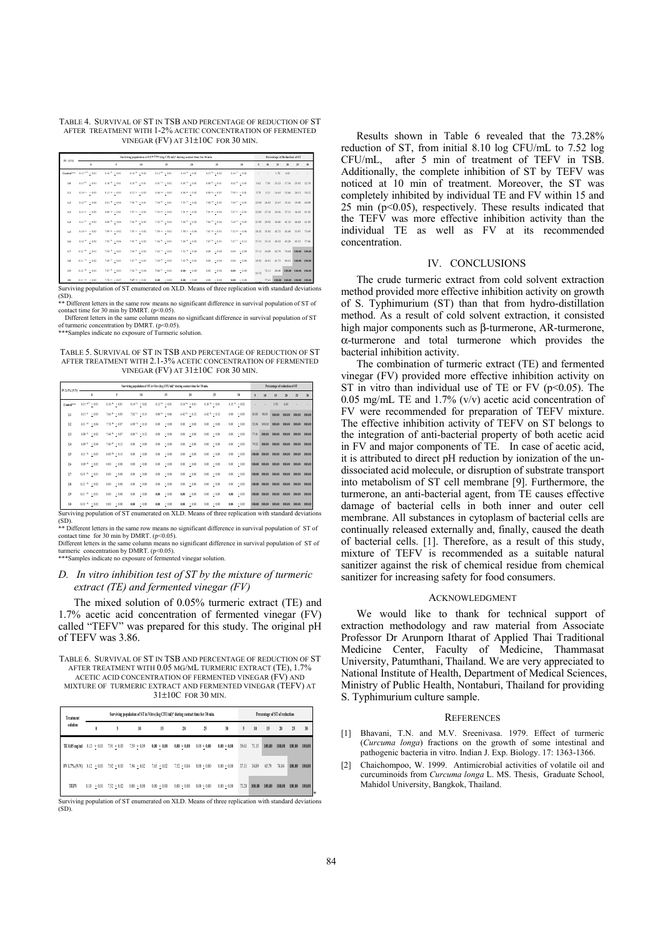TABLE 4. SURVIVAL OF ST IN TSB AND PERCENTAGE OF REDUCTION OF ST AFTER TREATMENT WITH 1-2% ACETIC CONCENTRATION OF FERMENTED VINEGAR (FV) AT 31±10C FOR 30 MIN.

|                        |                                            |                                 | Surviving population of ST in Vitro (log CFU/ml)* during contact time for 30 min |                              |                                  |                                |                               |       |             | Percentage of Reduction of ST |                             |               |       |
|------------------------|--------------------------------------------|---------------------------------|----------------------------------------------------------------------------------|------------------------------|----------------------------------|--------------------------------|-------------------------------|-------|-------------|-------------------------------|-----------------------------|---------------|-------|
| PV(WN)                 | ٠                                          | 5                               | 10                                                                               | 15                           | 20                               | 25                             | 30                            | 5     | 10          | 15                            | 20                          | 25            | 30    |
| Centrel <sup>***</sup> | $8.13$ $^{AA}$ + 0.01                      | $8.16~^{15}~\pm 0.01$           | $8.14~^{\mathrm{fb}}~+0.02$                                                      | $8.12^{34} + 0.01$           | $8.10$ $^{\rm{G}\star}$ $+$ 0.01 | $8.15^{4} + 0.02$              | $8.16~^{\rm G}$ + 0.02        |       |             | 1.70                          | 6.81                        |               | ٠     |
| 1.9                    | $8.13 h + 0.01$                            | $8.10^{-15}$ + 0.01 $\,$        | $8.10^{-11} + 0.01$                                                              | $8.01$ <sup>Cd</sup> + 0.02  | $8.05$ $^{\prime\prime}$ + 0.01  | $8.00\ ^{I_2}\ +\ 0.01$        | $8.02$ $^{\rm{B}}$ $+$ $0.03$ | 5.62  | 7.58        | 23.23                         | 17.36                       | 25.92         | 22.74 |
| 1.1                    | $8.14$ <sup>C</sup> + 0.03                 | $8.11$ * $+0.03$                | $8.12^{+1} + 0.03$                                                               | $8.06^{24} + 0.05$           | $8.06$ <sup>at</sup> + 0.03      | $8.00^{6}$ + 0.03              | $7.98 + 0.01$                 | 5.78  | 3.13        | 16.63                         | 15.66 26.51                 |               | 30.12 |
| 1.2                    | $8.12^{2n}$ + 0.04 $\,$                    | $8.01^{10} + 0.04$              | $7.98~^{\rm{fit}}~+~0.01$                                                        | $7.94\,$ $^{\rm H}$ + 0.01   | $7.93~^{\mathrm{CI}}\pm0.02$     | $7.90^{4k} + 0.05^{k}$         | $7.89 + 0.03$                 | 22.94 | 26.93       | 33.67                         | 35.41                       | 39.90         | 40.90 |
| 1.3                    | $8.11^{44}$ + 0.05                         | $8.00~^{\rm{O}}~+0.01$          | $7.97$ $^{\rm{Au}}$ $\,+\,0.02$                                                  | $7.93$ $^{51}$ + 0.02        | $7.91~^{\mathrm{BH}}~\pm~0.02$   | $7.91~^{\mathrm{1h}}$ + 0.04   | $7.87$ $^{\rm G}$ $+$ $0.03$  | 22.05 | 27.18       | 34.36                         | 37.31                       | 36.54         | 41.92 |
| 1.4                    | $8.11^{44}$ + 0.03                         | $8.00^{18} + 0.04$              | $7.96\,{}^{3\circ}$ + 0.05                                                       | $7.92$ $^{64}$ $\div$ $0.02$ | $7.88$ $47 + 0.02$               | $7.84$ $^{\rm{Ch}}$ $+$ $0.06$ | $7.69 + 0.05$                 |       | 21.99 29.92 | 36.06                         | 41.18                       | 46.04         | 61.89 |
| 1.5                    | $8.14^{6a} + 0.02$                         | $7.99^{10} + 0.02$              | $7.95$ $\rm{G}$ + 0.02                                                           | $7.89$ $4$ + 0.02            | $7.90$ $^{11}$ + 0.04            | $7.81^{26} + 0.03$             | $7.52 + 0.06$                 |       | 28.52 35.02 | 42.72                         | 42.48                       | 53.07         | 75.69 |
| 1.6                    | $8.12$ $^{\mathrm{Ab}}$ $\phantom{0}+0.02$ | $7.92~^{15}$ + 0.06             | $7.95~^{\mathrm{fb}}~+0.02$                                                      | $7.86^{3a} + 0.03$           | $7.88~^{\rm 6f}$ + 0.03          | $7.87$ $^{\rm h}$ + 0.03       | $7.47$ $^{\rm G}$ $+$ $0.12$  |       | 37.31 33.33 | 45.52                         | 43.28                       | 43.53         | 77.86 |
| 12                     | $8.12^{10} + 0.01$                         | $7.92$ $^{\rm{th}}$ $+$ $0.03$  | $7.94^{+6}$ + 0.02                                                               | $7.65~^{\rm{Co}}~+0.02$      | $7.52^{Aq} + 0.04$               | $0.00 + 0.00$                  | $0.00 + 0.01$                 |       | 37.11 34.09 | 65.79                         | 74.84 109.00 100.00         |               |       |
| 18                     | $8.11~\rm{^{15}}~\pm 0.02$                 | $7.89$ $\approx$ $+0.03$        | $7.87\,{}^{51}\,{}+0.03$                                                         | $7.69$ $+ 0.05$              | $7.43 h + 0.03$                  | $0.00 + 0.01$                  | $0.00 + 0.01$                 | 38.92 | 42.00       | 61.73                         | 80.41                       | 109.00 100.00 |       |
| 1.9                    | $8.12^{10}$ + 0.03                         | $7.87~^{\mathrm{in}}~\div 0.03$ | $7.56~^{\rm{fit}}\,\div\,0.04$                                                   | $7.31^{10} + 0.02$           | $0.00 + 0.00$                    | $0.00 + 0.00$                  | $0.01 + 0.01$                 | 43.77 | 72.11       | 80.40                         | 103.03 103.03 100.00        |               |       |
| 2.9                    | $8.11^{10} + 0.02$                         | $7.78$ $^{0}$ + 0.07            | $7.47^{44} + 0.02$                                                               | $0.00 + 0.00$                | $0.00 + 0.00$                    | $0.00 + 0.03$                  | $0.00 + 0.01$                 |       | 77.61       |                               | 100.00 100.00 100.00 100.00 |               |       |

Surviving population of ST enumerated on XLD. Means of three replication with standard deviations<br>(SD).<br>\*\* Different letters in the same row means no significant difference in survival population of ST of contact time for 30 min by DMRT. (p<0.05).

Different letters in the same column means no significant difference in survival population of ST of turmeric concentration by DMRT. (p<0.05).

\*\*\*Samples indicate no exposure of Turmeric solution.

TABLE 5. SURVIVAL OF ST IN TSB AND PERCENTAGE OF REDUCTION OF ST AFTER TREATMENT WITH 2.1-3% ACETIC CONCENTRATION OF FERMENTED VINEGAR (FV) AT 31±10C FOR 30 MIN.

|                        |                                 |                                     | Surviving population of ST in Vitro (log CFU/ml)* during contact time for 30 min. |                              |                               |                    |                     |                  | Percentage of reduction of ST |        |                  |
|------------------------|---------------------------------|-------------------------------------|-----------------------------------------------------------------------------------|------------------------------|-------------------------------|--------------------|---------------------|------------------|-------------------------------|--------|------------------|
| FV 2-3% (V/V)          | ٠                               | 5                                   | 10                                                                                | 15                           | 20                            | 25                 | 30                  | 5<br>10          | 15                            | 20     | 30<br>25         |
| Control <sup>+++</sup> | $8.13$ $^{A\sigma\ast}$ + 0.01  | $8.16$ $^{\mathrm{fb}}$ $\,+\,0.01$ | $8.14^{\text{ G}} + 0.02$                                                         | $8.12~^{\mathrm{2h}}~+0.01$  | $8.10$ $^{\rm{fit}}$ $+$ 0.01 | $8.10^{34} + 0.01$ | $8.15~^{51}$ + 0.02 |                  | 1.70                          | 681    |                  |
| 21                     | $8.13^{Ac} + 0.03$              | $7.66~^{\mathrm{Rc}}~+0.05$         | $7.02^{Cc} + 0.15$                                                                | $0.00~^{\mathrm{fr}}$ + 0.06 | $6.42^{ Ex} + 0.32$           | $6.42^{2x} + 0.32$ | 0.00<br>$+0.00$     | 98.03<br>65.85   | 100.00                        | 100.00 | 100.00<br>100.00 |
| 22                     | $8.11^{44}$<br>$+0.04$          | $7.78$ $^{\rm{Bd}}$ + 0.07          | $6.90\ ^{<2}$ + 0.10                                                              | $\pm\,0.00$<br>0.00          | 0.00<br>$+0.00$               | $+0.00$<br>0.00    | 0.00<br>$+0.00$     | 52.96<br>100.00  | 100.00                        | 100.00 | 100.00<br>100.00 |
| $^{13}$                | $8.08$ <sup>Ac</sup><br>$+0.02$ | $7.44^{34} + 0.07$                  | $0.00^{12} + 0.32$                                                                | 0.00<br>$+0.00$              | 0.00<br>$+0.00$               | 0.00<br>$+0.00$    | 0.00<br>$+0.00$     | 77.41<br>100.00  | 100.00                        | 100.00 | 100.00<br>100.00 |
| 2.4                    | $8.09$ $^{11}$ + 0.04           | $7.40$ $^{10}$ $\,\pm$ $0.12$       | $+0.00$<br>0.00                                                                   | 0.00<br>$+0.00$              | 0.00<br>$+ 0.00$              | $+0.00$<br>0.00    | 0.00<br>$+0.00$     | 79.52<br>10,00   | 100.00                        | 100.00 | 100.00<br>100.00 |
| 25                     | $8.11^{44} + 0.03$              | $0.00^{16} + 0.15$                  | $+0.00$<br>0.00                                                                   | 0.00<br>$+0.00$              | 0.00<br>$+0.00$               | $+0.00$<br>0.00    | 0.00<br>$\pm$ 0.00  | 100.00<br>100.00 | 100.00                        | 100.00 | 100.00<br>100.00 |
| 26                     | $8.09^{AA} + 0.02$              | $+0.00$<br>0.00                     | $+0.00$<br>0.00                                                                   | 0.00<br>$+0.00$              | 0.00<br>$+0.00$               | $+0.00$<br>0.00    | 0.00<br>$+0.00$     | 100.00<br>100.00 | 100.00                        | 100.00 | 100.00<br>100.00 |
| 27                     | $8.10^{-AA} \pm 0.01$           | 0.00<br>$+0.00$                     | $+0.00$<br>0.00                                                                   | 0.00<br>$+0.00$              | 0.00<br>$+0.00$               | $+0.00$<br>0.00    | 0.00<br>$+0.00$     | 10,00<br>100.00  | 100.00                        | 100.00 | 100.00<br>100.00 |
| 28                     | $8.12^{Ah} + 0.02$              | $+0.00$<br>0.00                     | $+0.00$<br>0.00                                                                   | 0.00<br>$+0.00$              | 0.00<br>$+0.00$               | 0.00<br>$+0.00$    | 0.00<br>$+0.00$     | 10,00<br>100.00  | 100.00                        | 100.00 | 100.00<br>100.00 |
| 29                     | $8.11^{-16}$<br>$+0.01$         | 0.00<br>$+0.00$                     | $+0.00$<br>0.00                                                                   | 0.01<br>$+0.00$              | 0.00<br>$+0.00$               | 0.00<br>$+0.00$    | 0.00<br>$+0.00$     | 100.00<br>100.00 | 100.00                        | 100.00 | 100.00<br>100.00 |
| 3.0                    | $8.10^{-AA}$ + 0.02             | 0.00<br>$+0.00$                     | ±0.00<br>0.00                                                                     | ± 0.00<br>0.00               | $+0.00$<br>6.00               | $+0.00$<br>0.00    | $+0.00$<br>0.00     | 100.00<br>100.00 | 100.00                        | 100.00 | 100.00<br>100.00 |

Surviving population of ST enumerated on XLD. Means of three replication with standard deviations<br>(SD).<br>\*\* Different letters in the same row means no significant difference in survival population of ST of

contact time for 30 min by DMRT. ( $p$ <0.05).<br>Different letters in the same column means no mn means no significant difference in survival population of ST of turmeric concentration by DMRT. (p<0.05).

\*\*\*Samples indicate no exposure of fermented vinegar solution.

# *D. In vitro inhibition test of ST by the mixture of turmeric extract (TE) and fermented vinegar (FV)*

The mixed solution of 0.05% turmeric extract (TE) and 1.7% acetic acid concentration of fermented vinegar (FV) called "TEFV" was prepared for this study. The original pH of TEFV was 3.86.

TABLE 6. SURVIVAL OF ST IN TSB AND PERCENTAGE OF REDUCTION OF ST AFTER TREATMENT WITH 0.05 MG/ML TURMERIC EXTRACT (TE), 1.7% ACETIC ACID CONCENTRATION OF FERMENTED VINEGAR (FV) AND MIXTURE OF TURMERIC EXTRACT AND FERMENTED VINEGAR (TEFV) AT 31±10C FOR 30 MIN.

| Treatment                    |               | Surviving population of ST in Vitro (log CFU/ml) <sup>+</sup> during contact time for 30 min. |               |               |               |               |               |       |        |        | Percentage of ST of reduction |        |        |  |  |  |
|------------------------------|---------------|-----------------------------------------------------------------------------------------------|---------------|---------------|---------------|---------------|---------------|-------|--------|--------|-------------------------------|--------|--------|--|--|--|
| solution                     | Ô             | 5                                                                                             | 10            | 15            | 20            | 25            | 30            | 5     | 10     | 15     | 20                            | 25     | 30     |  |  |  |
| TE 0.05 mg/ml                | $8.13 + 0.01$ | $7.91 + 0.05$                                                                                 | $7.59 + 0.09$ | $0.00 + 0.00$ | $0.00 + 0.00$ | $0.00 + 0.00$ | $0.00 + 0.00$ | 39.61 | 71.15  | 100.00 | 100,00                        | 100.00 | 100,00 |  |  |  |
| $FVI.7\% (VN) = 8.12 + 0.01$ |               | $7.92 + 0.03$                                                                                 | $7.94 + 0.02$ | $7.65 + 0.02$ | $7.52 + 0.04$ | $0.00 + 0.00$ | $0.00 + 0.00$ | 37.11 | 34.09  | 65.79  | 74 84                         | 100.00 | 100,00 |  |  |  |
| <b>TEFV</b>                  | $8.10 + 0.01$ | $7.52 + 0.02$                                                                                 | $0.00 + 0.00$ | $0.00 + 0.00$ | $0.00 + 0.00$ | $0.00 + 0.00$ | $0.00 + 0.00$ | 73.28 | 100.00 | 100.00 | 100.00                        | 100.00 | 100.00 |  |  |  |

 $(SD)$ 

Results shown in Table 6 revealed that the 73.28% reduction of ST, from initial 8.10 log CFU/mL to 7.52 log CFU/mL, after 5 min of treatment of TEFV in TSB. Additionally, the complete inhibition of ST by TEFV was noticed at 10 min of treatment. Moreover, the ST was completely inhibited by individual TE and FV within 15 and 25 min (p<0.05), respectively. These results indicated that the TEFV was more effective inhibition activity than the individual TE as well as FV at its recommended concentration.

# IV. CONCLUSIONS

The crude turmeric extract from cold solvent extraction method provided more effective inhibition activity on growth of S. Typhimurium (ST) than that from hydro-distillation method. As a result of cold solvent extraction, it consisted high major components such as β-turmerone, AR-turmerone, α-turmerone and total turmerone which provides the bacterial inhibition activity.

The combination of turmeric extract (TE) and fermented vinegar (FV) provided more effective inhibition activity on ST in vitro than individual use of TE or FV ( $p<0.05$ ). The 0.05 mg/mL TE and  $1.7\%$  (v/v) acetic acid concentration of FV were recommended for preparation of TEFV mixture. The effective inhibition activity of TEFV on ST belongs to the integration of anti-bacterial property of both acetic acid in FV and major components of TE. In case of acetic acid, it is attributed to direct pH reduction by ionization of the undissociated acid molecule, or disruption of substrate transport into metabolism of ST cell membrane [9]. Furthermore, the turmerone, an anti-bacterial agent, from TE causes effective damage of bacterial cells in both inner and outer cell membrane. All substances in cytoplasm of bacterial cells are continually released externally and, finally, caused the death of bacterial cells. [1]. Therefore, as a result of this study, mixture of TEFV is recommended as a suitable natural sanitizer against the risk of chemical residue from chemical sanitizer for increasing safety for food consumers.

#### ACKNOWLEDGMENT

We would like to thank for technical support of extraction methodology and raw material from Associate Professor Dr Arunporn Itharat of Applied Thai Traditional Medicine Center, Faculty of Medicine, Thammasat University, Patumthani, Thailand. We are very appreciated to National Institute of Health, Department of Medical Sciences, Ministry of Public Health, Nontaburi, Thailand for providing S. Typhimurium culture sample.

#### **REFERENCES**

- [1] Bhavani, T.N. and M.V. Sreenivasa. 1979. Effect of turmeric (*Curcuma longa*) fractions on the growth of some intestinal and pathogenic bacteria in vitro. Indian J. Exp. Biology. 17: 1363-1366.
- [2] Chaichompoo, W. 1999. Antimicrobial activities of volatile oil and curcuminoids from *Curcuma longa* L. MS. Thesis, Graduate School, Mahidol University, Bangkok, Thailand.